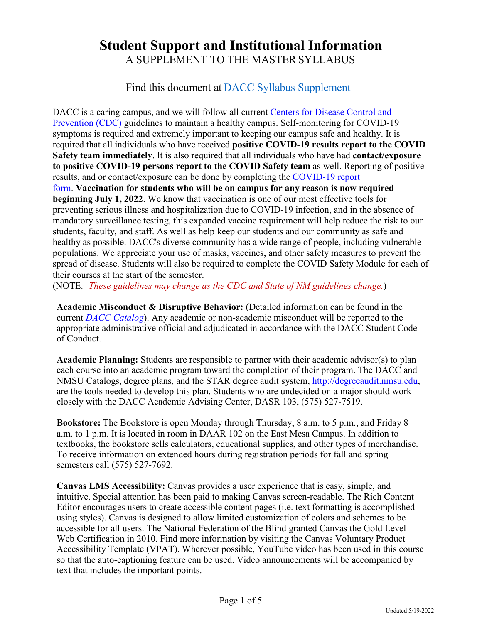# **Student Support and Institutional Information** A SUPPLEMENT TO THE MASTER SYLLABUS

## Find this document at [DACC Syllabus Supplement](https://dacc.nmsu.edu/syllabus)

DACC is a caring campus, and we will follow all curren[t Centers for Disease Control and](https://www.cdc.gov/coronavirus/2019-ncov/community/colleges-universities/considerations.html#section3)  [Prevention \(CDC\)](https://www.cdc.gov/coronavirus/2019-ncov/community/colleges-universities/considerations.html#section3) guidelines to maintain a healthy campus. Self-monitoring for COVID-19 symptoms is required and extremely important to keeping our campus safe and healthy. It is required that all individuals who have received **positive COVID-19 results report to the COVID Safety team immediately**. It is also required that all individuals who have had **contact/exposure to positive COVID-19 persons report to the COVID Safety team** as well. Reporting of positive results, and or contact/exposure can be done by completing the [COVID-19 report](https://forms.office.com/r/KNjB32j06G)  [form.](https://forms.office.com/r/KNjB32j06G) **Vaccination for students who will be on campus for any reason is now required beginning July 1, 2022**. We know that vaccination is one of our most effective tools for preventing serious illness and hospitalization due to COVID-19 infection, and in the absence of mandatory surveillance testing, this expanded vaccine requirement will help reduce the risk to our students, faculty, and staff. As well as help keep our students and our community as safe and healthy as possible. DACC's diverse community has a wide range of people, including vulnerable populations. We appreciate your use of masks, vaccines, and other safety measures to prevent the spread of disease. Students will also be required to complete the COVID Safety Module for each of their courses at the start of the semester.

(NOTE*: These guidelines may change as the CDC and State of NM guidelines change.*)

**Academic Misconduct & Disruptive Behavior:** (Detailed information can be found in the current *[DACC Catalog](https://onedrive.live.com/?authkey=%21AOzgkncFkmThcFQ&id=EBA389122238B909%21141&cid=EBA389122238B909)*). Any academic or non-academic misconduct will be reported to the appropriate administrative official and adjudicated in accordance with the DACC Student Code of Conduct.

**Academic Planning:** Students are responsible to partner with their academic advisor(s) to plan each course into an academic program toward the completion of their program. The DACC and NMSU Catalogs, degree plans, and the STAR degree audit system, [http://degreeaudit.nmsu.edu,](http://degreeaudit.nmsu.edu/) are the tools needed to develop this plan. Students who are undecided on a major should work closely with the DACC Academic Advising Center, DASR 103, (575) 527-7519.

**Bookstore:** The Bookstore is open Monday through Thursday, 8 a.m. to 5 p.m., and Friday 8 a.m. to 1 p.m. It is located in room in DAAR 102 on the East Mesa Campus. In addition to textbooks, the bookstore sells calculators, educational supplies, and other types of merchandise. To receive information on extended hours during registration periods for fall and spring semesters call (575) 527-7692.

**Canvas LMS Accessibility:** Canvas provides a user experience that is easy, simple, and intuitive. Special attention has been paid to making Canvas screen-readable. The Rich Content Editor encourages users to create accessible content pages (i.e. text formatting is accomplished using styles). Canvas is designed to allow limited customization of colors and schemes to be accessible for all users. The National Federation of the Blind granted Canvas the Gold Level Web Certification in 2010. Find more information by visiting the Canvas Voluntary Product Accessibility Template (VPAT). Wherever possible, YouTube video has been used in this course so that the auto-captioning feature can be used. Video announcements will be accompanied by text that includes the important points.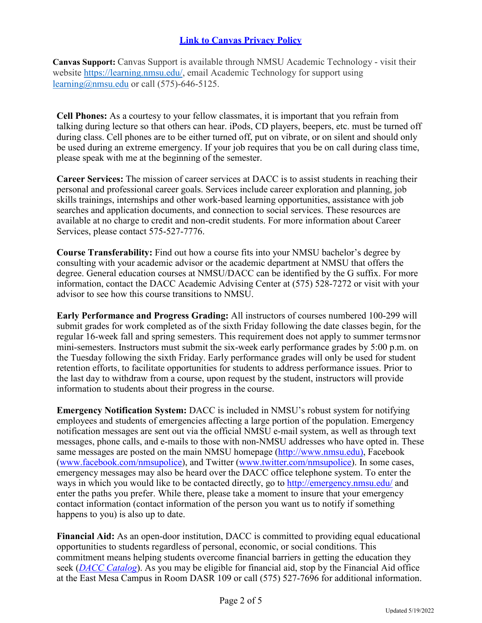### **[Link to Canvas Privacy Policy](https://www.instructure.com/policies/privacy)**

**Canvas Support:** Canvas Support is available through NMSU Academic Technology - visit their website [https://learning.nmsu.edu/,](https://learning.nmsu.edu/) email Academic Technology for support using [learning@nmsu.edu](mailto:learning@nmsu.edu) or call  $(575)$ -646-5125.

**Cell Phones:** As a courtesy to your fellow classmates, it is important that you refrain from talking during lecture so that others can hear. iPods, CD players, beepers, etc. must be turned off during class. Cell phones are to be either turned off, put on vibrate, or on silent and should only be used during an extreme emergency. If your job requires that you be on call during class time, please speak with me at the beginning of the semester.

**Career Services:** The mission of career services at DACC is to assist students in reaching their personal and professional career goals. Services include career exploration and planning, job skills trainings, internships and other work-based learning opportunities, assistance with job searches and application documents, and connection to social services. These resources are available at no charge to credit and non-credit students. For more information about Career Services, please contact 575-527-7776.

**Course Transferability:** Find out how a course fits into your NMSU bachelor's degree by consulting with your academic advisor or the academic department at NMSU that offers the degree. General education courses at NMSU/DACC can be identified by the G suffix. For more information, contact the DACC Academic Advising Center at (575) 528-7272 or visit with your advisor to see how this course transitions to NMSU.

**Early Performance and Progress Grading:** All instructors of courses numbered 100-299 will submit grades for work completed as of the sixth Friday following the date classes begin, for the regular 16-week fall and spring semesters. This requirement does not apply to summer terms nor mini-semesters. Instructors must submit the six-week early performance grades by 5:00 p.m. on the Tuesday following the sixth Friday. Early performance grades will only be used for student retention efforts, to facilitate opportunities for students to address performance issues. Prior to the last day to withdraw from a course, upon request by the student, instructors will provide information to students about their progress in the course.

**Emergency Notification System:** DACC is included in NMSU's robust system for notifying employees and students of emergencies affecting a large portion of the population. Emergency notification messages are sent out via the official NMSU e-mail system, as well as through text messages, phone calls, and e-mails to those with non-NMSU addresses who have opted in. These same messages are posted on the main NMSU homepage [\(http://www.nmsu.edu\),](http://www.nmsu.edu/) Facebook [\(www.facebook.com/nmsupolice\)](https://www.facebook.com/NMSUPolice/), and Twitter [\(www.twitter.com/nmsupolice\)](https://twitter.com/nmsupolice). In some cases, emergency messages may also be heard over the DACC office telephone system. To enter the ways in which you would like to be contacted directly, go to [http://emergency.nmsu.edu/ a](http://emergency.nmsu.edu/)nd enter the paths you prefer. While there, please take a moment to insure that your emergency contact information (contact information of the person you want us to notify if something happens to you) is also up to date.

**Financial Aid:** As an open-door institution, DACC is committed to providing equal educational opportunities to students regardless of personal, economic, or social conditions. This commitment means helping students overcome financial barriers in getting the education they seek (*[DACC Catalog](https://onedrive.live.com/?authkey=%21AOzgkncFkmThcFQ&id=EBA389122238B909%21141&cid=EBA389122238B909)*). As you may be eligible for financial aid, stop by the Financial Aid office at the East Mesa Campus in Room DASR 109 or call (575) 527-7696 for additional information.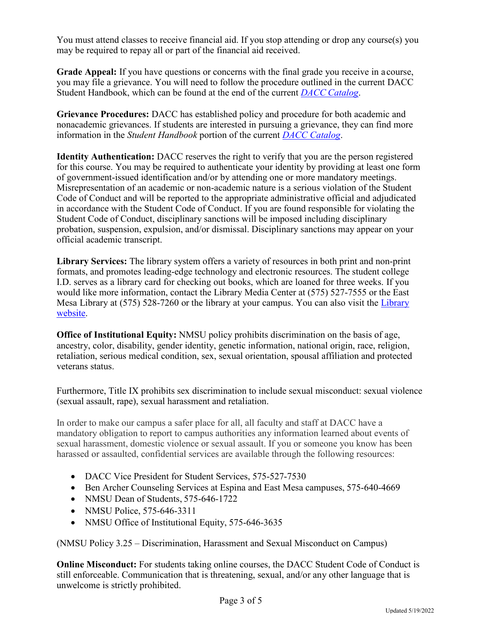You must attend classes to receive financial aid. If you stop attending or drop any course(s) you may be required to repay all or part of the financial aid received.

**Grade Appeal:** If you have questions or concerns with the final grade you receive in a course, you may file a grievance. You will need to follow the procedure outlined in the current DACC Student Handbook, which can be found at the end of the current *[DACC Catalog](https://onedrive.live.com/?authkey=%21AOzgkncFkmThcFQ&id=EBA389122238B909%21141&cid=EBA389122238B909)*.

**Grievance Procedures:** DACC has established policy and procedure for both academic and nonacademic grievances. If students are interested in pursuing a grievance, they can find more information in the *Student Handbook* portion of the current *[DACC Catalog](https://onedrive.live.com/?cid=eba389122238b909&id=EBA389122238B909%21141&authkey=%21AOzgkncFkmThcFQ)*.

**Identity Authentication:** DACC reserves the right to verify that you are the person registered for this course. You may be required to authenticate your identity by providing at least one form of government-issued identification and/or by attending one or more mandatory meetings. Misrepresentation of an academic or non-academic nature is a serious violation of the Student Code of Conduct and will be reported to the appropriate administrative official and adjudicated in accordance with the Student Code of Conduct. If you are found responsible for violating the Student Code of Conduct, disciplinary sanctions will be imposed including disciplinary probation, suspension, expulsion, and/or dismissal. Disciplinary sanctions may appear on your official academic transcript.

**Library Services:** The library system offers a variety of resources in both print and non-print formats, and promotes leading-edge technology and electronic resources. The student college I.D. serves as a library card for checking out books, which are loaned for three weeks. If you would like more information, contact the Library Media Center at (575) 527-7555 or the East Mesa Library at (575) 528-7260 or the library at your campus. You can also visit the [Library](https://dacc.nmsu.edu/library/) [website.](http://dacc.nmsu.edu/library/)

**Office of Institutional Equity:** NMSU policy prohibits discrimination on the basis of age, ancestry, color, disability, gender identity, genetic information, national origin, race, religion, retaliation, serious medical condition, sex, sexual orientation, spousal affiliation and protected veterans status.

Furthermore, Title IX prohibits sex discrimination to include sexual misconduct: sexual violence (sexual assault, rape), sexual harassment and retaliation.

In order to make our campus a safer place for all, all faculty and staff at DACC have a mandatory obligation to report to campus authorities any information learned about events of sexual harassment, domestic violence or sexual assault. If you or someone you know has been harassed or assaulted, confidential services are available through the following resources:

- DACC Vice President for Student Services, 575-527-7530
- Ben Archer Counseling Services at Espina and East Mesa campuses, 575-640-4669
- NMSU Dean of Students, 575-646-1722
- NMSU Police, 575-646-3311
- NMSU Office of Institutional Equity, 575-646-3635

(NMSU Policy 3.25 – Discrimination, Harassment and Sexual Misconduct on Campus)

**Online Misconduct:** For students taking online courses, the DACC Student Code of Conduct is still enforceable. Communication that is threatening, sexual, and/or any other language that is unwelcome is strictly prohibited.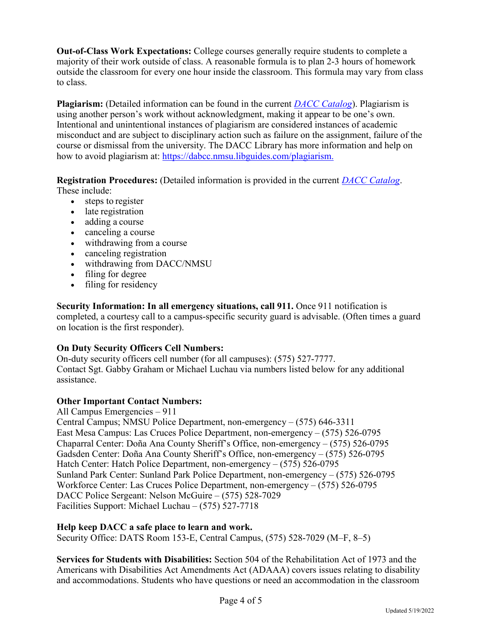**Out-of-Class Work Expectations:** College courses generally require students to complete a majority of their work outside of class. A reasonable formula is to plan 2-3 hours of homework outside the classroom for every one hour inside the classroom. This formula may vary from class to class.

**Plagiarism:** (Detailed information can be found in the current *[DACC Catalog](https://onedrive.live.com/?authkey=%21AOzgkncFkmThcFQ&id=EBA389122238B909%21141&cid=EBA389122238B909)*). Plagiarism is using another person's work without acknowledgment, making it appear to be one's own. Intentional and unintentional instances of plagiarism are considered instances of academic misconduct and are subject to disciplinary action such as failure on the assignment, failure of the course or dismissal from the university. The DACC Library has more information and help on how to avoid plagiarism at: [https://dabcc.nmsu.libguides.com/plagiarism.](https://dabcc.nmsu.libguides.com/plagiarism)

**Registration Procedures:** (Detailed information is provided in the current *[DACC Catalog](https://onedrive.live.com/?authkey=%21AOzgkncFkmThcFQ&id=EBA389122238B909%21141&cid=EBA389122238B909)*. These include:

- steps to register
- late registration
- adding a course
- canceling a course
- withdrawing from a course
- canceling registration
- withdrawing from DACC/NMSU
- filing for degree
- filing for residency

**Security Information: In all emergency situations, call 911.** Once 911 notification is completed, a courtesy call to a campus-specific security guard is advisable. (Often times a guard on location is the first responder).

#### **On Duty Security Officers Cell Numbers:**

On-duty security officers cell number (for all campuses): (575) 527-7777. Contact Sgt. Gabby Graham or Michael Luchau via numbers listed below for any additional assistance.

#### **Other Important Contact Numbers:**

All Campus Emergencies – 911 Central Campus; NMSU Police Department, non-emergency – (575) 646-3311 East Mesa Campus: Las Cruces Police Department, non-emergency – (575) 526-0795 Chaparral Center: Doña Ana County Sheriff's Office, non-emergency – (575) 526-0795 Gadsden Center: Doña Ana County Sheriff's Office, non-emergency – (575) 526-0795 Hatch Center: Hatch Police Department, non-emergency – (575) 526-0795 Sunland Park Center: Sunland Park Police Department, non-emergency – (575) 526-0795 Workforce Center: Las Cruces Police Department, non-emergency – (575) 526-0795 DACC Police Sergeant: Nelson McGuire – (575) 528-7029 Facilities Support: Michael Luchau – (575) 527-7718

#### **Help keep DACC a safe place to learn and work.**

Security Office: DATS Room 153-E, Central Campus, (575) 528-7029 (M–F, 8–5)

**Services for Students with Disabilities:** Section 504 of the Rehabilitation Act of 1973 and the Americans with Disabilities Act Amendments Act (ADAAA) covers issues relating to disability and accommodations. Students who have questions or need an accommodation in the classroom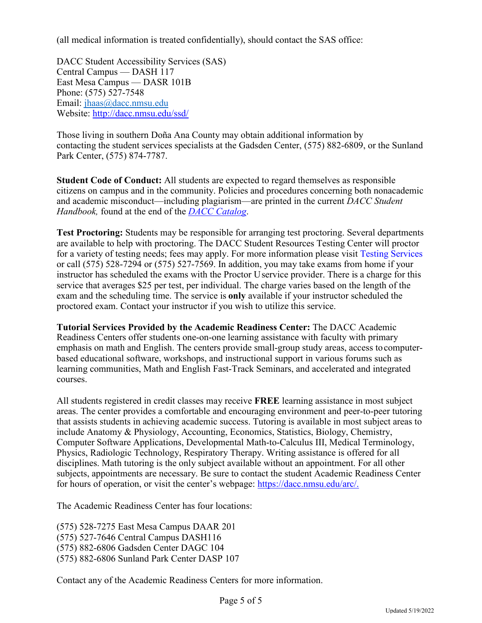(all medical information is treated confidentially), should contact the SAS office:

DACC Student Accessibility Services (SAS) Central Campus — DASH 117 East Mesa Campus — DASR 101B Phone: (575) 527-7548 Email: [jhaas@dacc.nmsu.edu](mailto:jhaas@dacc.nmsu.edu) Website: [http://dacc.nmsu.edu/ssd/](http://dacc.nmsu.edu/sas/)

Those living in southern Doña Ana County may obtain additional information by contacting the student services specialists at the Gadsden Center, (575) 882-6809, or the Sunland Park Center, (575) 874-7787.

**Student Code of Conduct:** All students are expected to regard themselves as responsible citizens on campus and in the community. Policies and procedures concerning both nonacademic and academic misconduct—including plagiarism—are printed in the current *DACC Student Handbook,* found at the end of the *[DACC Catalog](https://onedrive.live.com/?authkey=%21AOzgkncFkmThcFQ&id=EBA389122238B909%21141&cid=EBA389122238B909)*.

**Test Proctoring:** Students may be responsible for arranging test proctoring. Several departments are available to help with proctoring. The DACC Student Resources Testing Center will proctor for a variety of testing needs; fees may apply. For more information please visit [Testing Services](https://dacc.nmsu.edu/admissions/testing-services.html) or call (575) 528-7294 or (575) 527-7569. In addition, you may take exams from home if your instructor has scheduled the exams with the Proctor U service provider. There is a charge for this service that averages \$25 per test, per individual. The charge varies based on the length of the exam and the scheduling time. The service is **only** available if your instructor scheduled the proctored exam. Contact your instructor if you wish to utilize this service.

**Tutorial Services Provided by the Academic Readiness Center:** The DACC Academic Readiness Centers offer students one-on-one learning assistance with faculty with primary emphasis on math and English. The centers provide small-group study areas, access to computerbased educational software, workshops, and instructional support in various forums such as learning communities, Math and English Fast-Track Seminars, and accelerated and integrated courses.

All students registered in credit classes may receive **FREE** learning assistance in most subject areas. The center provides a comfortable and encouraging environment and peer-to-peer tutoring that assists students in achieving academic success. Tutoring is available in most subject areas to include Anatomy & Physiology, Accounting, Economics, Statistics, Biology, Chemistry, Computer Software Applications, Developmental Math-to-Calculus III, Medical Terminology, Physics, Radiologic Technology, Respiratory Therapy. Writing assistance is offered for all disciplines. Math tutoring is the only subject available without an appointment. For all other subjects, appointments are necessary. Be sure to contact the student Academic Readiness Center for hours of operation, or visit the center's webpage: [https://dacc.nmsu.edu/arc/.](https://dacc.nmsu.edu/arc/)

The Academic Readiness Center has four locations:

(575) 528-7275 East Mesa Campus DAAR 201 (575) 527-7646 Central Campus DASH116 (575) 882-6806 Gadsden Center DAGC 104 (575) 882-6806 Sunland Park Center DASP 107

Contact any of the Academic Readiness Centers for more information.